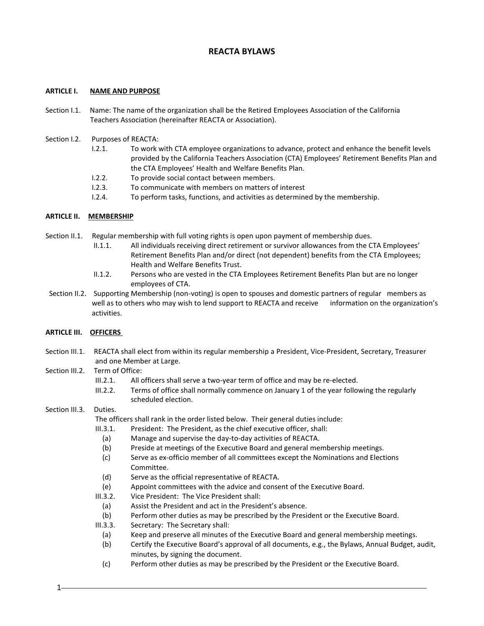# **REACTA BYLAWS**

### **ARTICLE I. NAME AND PURPOSE**

- Section I.1. Name: The name of the organization shall be the Retired Employees Association of the California Teachers Association (hereinafter REACTA or Association).
- Section I.2. Purposes of REACTA:
	- I.2.1. To work with CTA employee organizations to advance, protect and enhance the benefit levels provided by the California Teachers Association (CTA) Employees' Retirement Benefits Plan and the CTA Employees' Health and Welfare Benefits Plan.
	- I.2.2. To provide social contact between members.
	- I.2.3. To communicate with members on matters of interest
	- I.2.4. To perform tasks, functions, and activities as determined by the membership.

### **ARTICLE II. MEMBERSHIP**

Section II.1. Regular membership with full voting rights is open upon payment of membership dues.

- II.1.1. All individuals receiving direct retirement or survivor allowances from the CTA Employees' Retirement Benefits Plan and/or direct (not dependent) benefits from the CTA Employees; Health and Welfare Benefits Trust.
- II.1.2. Persons who are vested in the CTA Employees Retirement Benefits Plan but are no longer employees of CTA.
- Section II.2. Supporting Membership (non-voting) is open to spouses and domestic partners of regular members as well as to others who may wish to lend support to REACTA and receive information on the organization's activities.

## **ARTICLE III. OFFICERS**

- Section III.1. REACTA shall elect from within its regular membership a President, Vice-President, Secretary, Treasurer and one Member at Large.
- Section III.2. Term of Office:
	- III.2.1. All officers shall serve a two-year term of office and may be re-elected.
	- III.2.2. Terms of office shall normally commence on January 1 of the year following the regularly scheduled election.

## Section III.3. Duties.

The officers shall rank in the order listed below. Their general duties include:

- III.3.1. President: The President, as the chief executive officer, shall:
- (a) Manage and supervise the day-to-day activities of REACTA.
- (b) Preside at meetings of the Executive Board and general membership meetings.
- (c) Serve as ex-officio member of all committees except the Nominations and Elections Committee.
- (d) Serve as the official representative of REACTA.
- (e) Appoint committees with the advice and consent of the Executive Board.
- III.3.2. Vice President: The Vice President shall:
	- (a) Assist the President and act in the President's absence.
	- (b) Perform other duties as may be prescribed by the President or the Executive Board.
- III.3.3. Secretary: The Secretary shall:
	- (a) Keep and preserve all minutes of the Executive Board and general membership meetings.
	- (b) Certify the Executive Board's approval of all documents, e.g., the Bylaws, Annual Budget, audit, minutes, by signing the document.
	- (c) Perform other duties as may be prescribed by the President or the Executive Board.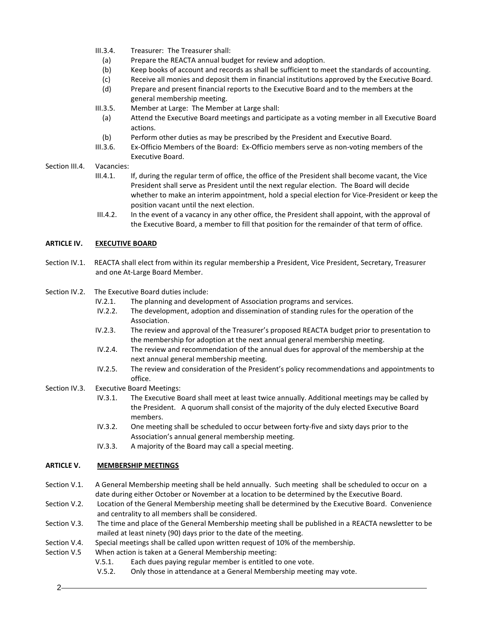- III.3.4. Treasurer: The Treasurer shall:
	- (a) Prepare the REACTA annual budget for review and adoption.
	- (b) Keep books of account and records as shall be sufficient to meet the standards of accounting.
	- (c) Receive all monies and deposit them in financial institutions approved by the Executive Board.
	- (d) Prepare and present financial reports to the Executive Board and to the members at the general membership meeting.
- III.3.5. Member at Large: The Member at Large shall:
	- (a) Attend the Executive Board meetings and participate as a voting member in all Executive Board actions.
- (b) Perform other duties as may be prescribed by the President and Executive Board.
- III.3.6. Ex-Officio Members of the Board: Ex-Officio members serve as non-voting members of the Executive Board.
- Section III.4. Vacancies:
	- III.4.1. If, during the regular term of office, the office of the President shall become vacant, the Vice President shall serve as President until the next regular election. The Board will decide whether to make an interim appointment, hold a special election for Vice-President or keep the position vacant until the next election.
	- III.4.2. In the event of a vacancy in any other office, the President shall appoint, with the approval of the Executive Board, a member to fill that position for the remainder of that term of office.

## **ARTICLE IV. EXECUTIVE BOARD**

Section IV.1. REACTA shall elect from within its regular membership a President, Vice President, Secretary, Treasurer and one At-Large Board Member.

## Section IV.2. The Executive Board duties include:

- IV.2.1. The planning and development of Association programs and services.
- IV.2.2. The development, adoption and dissemination of standing rules for the operation of the Association.
- IV.2.3. The review and approval of the Treasurer's proposed REACTA budget prior to presentation to the membership for adoption at the next annual general membership meeting.
- IV.2.4. The review and recommendation of the annual dues for approval of the membership at the next annual general membership meeting.
- IV.2.5. The review and consideration of the President's policy recommendations and appointments to office.
- Section IV.3. Executive Board Meetings:
	- IV.3.1. The Executive Board shall meet at least twice annually. Additional meetings may be called by the President. A quorum shall consist of the majority of the duly elected Executive Board members.
	- IV.3.2. One meeting shall be scheduled to occur between forty-five and sixty days prior to the Association's annual general membership meeting.
	- IV.3.3. A majority of the Board may call a special meeting.

# **ARTICLE V. MEMBERSHIP MEETINGS**

- Section V.1. A General Membership meeting shall be held annually. Such meeting shall be scheduled to occur on a date during either October or November at a location to be determined by the Executive Board.
- Section V.2. Location of the General Membership meeting shall be determined by the Executive Board. Convenience and centrality to all members shall be considered.
- Section V.3. The time and place of the General Membership meeting shall be published in a REACTA newsletter to be mailed at least ninety (90) days prior to the date of the meeting.
- Section V.4. Special meetings shall be called upon written request of 10% of the membership.
- Section V.5 When action is taken at a General Membership meeting:
	- V.5.1. Each dues paying regular member is entitled to one vote.
	- V.5.2. Only those in attendance at a General Membership meeting may vote.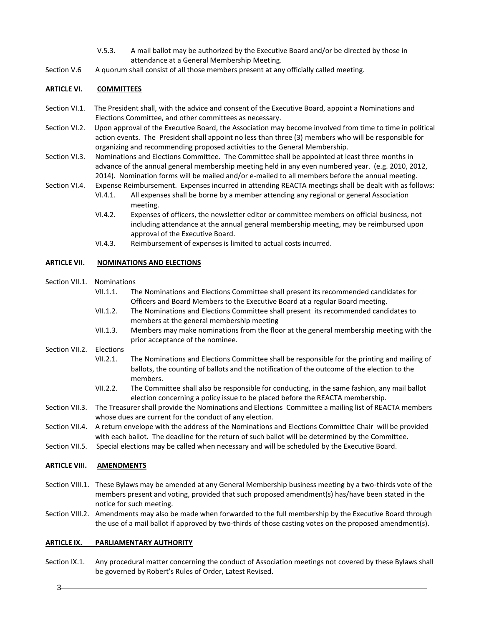- V.5.3. A mail ballot may be authorized by the Executive Board and/or be directed by those in attendance at a General Membership Meeting.
- Section V.6 A quorum shall consist of all those members present at any officially called meeting.

### **ARTICLE VI. COMMITTEES**

- Section VI.1. The President shall, with the advice and consent of the Executive Board, appoint a Nominations and Elections Committee, and other committees as necessary.
- Section VI.2. Upon approval of the Executive Board, the Association may become involved from time to time in political action events. The President shall appoint no less than three (3) members who will be responsible for organizing and recommending proposed activities to the General Membership.
- Section VI.3. Nominations and Elections Committee. The Committee shall be appointed at least three months in advance of the annual general membership meeting held in any even numbered year. (e.g. 2010, 2012, 2014). Nomination forms will be mailed and/or e-mailed to all members before the annual meeting.
- Section VI.4. Expense Reimbursement. Expenses incurred in attending REACTA meetings shall be dealt with as follows: VI.4.1. All expenses shall be borne by a member attending any regional or general Association
	- meeting.
	- VI.4.2. Expenses of officers, the newsletter editor or committee members on official business, not including attendance at the annual general membership meeting, may be reimbursed upon approval of the Executive Board.
	- VI.4.3. Reimbursement of expenses is limited to actual costs incurred.

### **ARTICLE VII. NOMINATIONS AND ELECTIONS**

- Section VII.1. Nominations
	- VII.1.1. The Nominations and Elections Committee shall present its recommended candidates for Officers and Board Members to the Executive Board at a regular Board meeting.
	- VII.1.2. The Nominations and Elections Committee shall present its recommended candidates to members at the general membership meeting
	- VII.1.3. Members may make nominations from the floor at the general membership meeting with the prior acceptance of the nominee.
- Section VII.2. Elections
	- VII.2.1. The Nominations and Elections Committee shall be responsible for the printing and mailing of ballots, the counting of ballots and the notification of the outcome of the election to the members.
	- VII.2.2. The Committee shall also be responsible for conducting, in the same fashion, any mail ballot election concerning a policy issue to be placed before the REACTA membership.
- Section VII.3. The Treasurer shall provide the Nominations and Elections Committee a mailing list of REACTA members whose dues are current for the conduct of any election.
- Section VII.4. A return envelope with the address of the Nominations and Elections Committee Chair will be provided with each ballot. The deadline for the return of such ballot will be determined by the Committee.
- Section VII.5. Special elections may be called when necessary and will be scheduled by the Executive Board.

#### **ARTICLE VIII. AMENDMENTS**

- Section VIII.1. These Bylaws may be amended at any General Membership business meeting by a two-thirds vote of the members present and voting, provided that such proposed amendment(s) has/have been stated in the notice for such meeting.
- Section VIII.2. Amendments may also be made when forwarded to the full membership by the Executive Board through the use of a mail ballot if approved by two-thirds of those casting votes on the proposed amendment(s).

#### **ARTICLE IX. PARLIAMENTARY AUTHORITY**

Section IX.1. Any procedural matter concerning the conduct of Association meetings not covered by these Bylaws shall be governed by Robert's Rules of Order, Latest Revised.